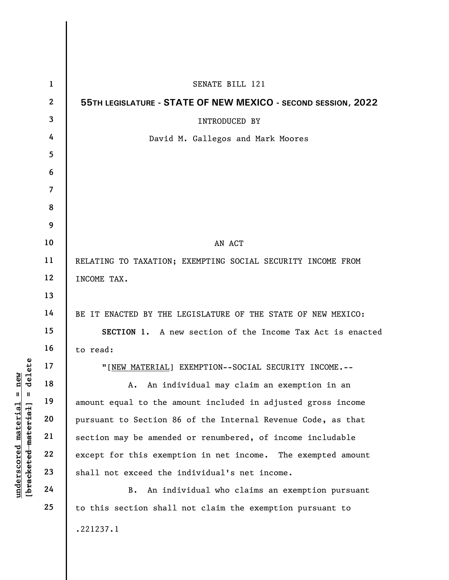|                                                                                                     | $\mathbf{1}$   | SENATE BILL 121                                               |
|-----------------------------------------------------------------------------------------------------|----------------|---------------------------------------------------------------|
|                                                                                                     | $\overline{2}$ | 55TH LEGISLATURE - STATE OF NEW MEXICO - SECOND SESSION, 2022 |
|                                                                                                     | 3              | INTRODUCED BY                                                 |
|                                                                                                     | 4              | David M. Gallegos and Mark Moores                             |
|                                                                                                     | 5              |                                                               |
| delete<br>new<br>Ш<br>- II<br>$\mathtt{material}$<br>[bracketed material<br>$\bm{{\rm underscore}}$ | 6              |                                                               |
|                                                                                                     | $\overline{7}$ |                                                               |
|                                                                                                     | 8              |                                                               |
|                                                                                                     | 9              |                                                               |
|                                                                                                     | 10             | AN ACT                                                        |
|                                                                                                     | 11             | RELATING TO TAXATION; EXEMPTING SOCIAL SECURITY INCOME FROM   |
|                                                                                                     | 12             | INCOME TAX.                                                   |
|                                                                                                     | 13             |                                                               |
|                                                                                                     | 14             | BE IT ENACTED BY THE LEGISLATURE OF THE STATE OF NEW MEXICO:  |
|                                                                                                     | 15             | SECTION 1. A new section of the Income Tax Act is enacted     |
|                                                                                                     | 16             | to read:                                                      |
|                                                                                                     | 17             | "[NEW MATERIAL] EXEMPTION--SOCIAL SECURITY INCOME.--          |
|                                                                                                     | 18             | An individual may claim an exemption in an<br>А.              |
|                                                                                                     | 19             | amount equal to the amount included in adjusted gross income  |
|                                                                                                     | 20             | pursuant to Section 86 of the Internal Revenue Code, as that  |
|                                                                                                     | 21             | section may be amended or renumbered, of income includable    |
|                                                                                                     | 22             | except for this exemption in net income. The exempted amount  |
|                                                                                                     | 23             | shall not exceed the individual's net income.                 |
|                                                                                                     | 24             | An individual who claims an exemption pursuant<br><b>B.</b>   |
|                                                                                                     | 25             | to this section shall not claim the exemption pursuant to     |
|                                                                                                     |                | .221237.1                                                     |

 $\mathbf{I}$